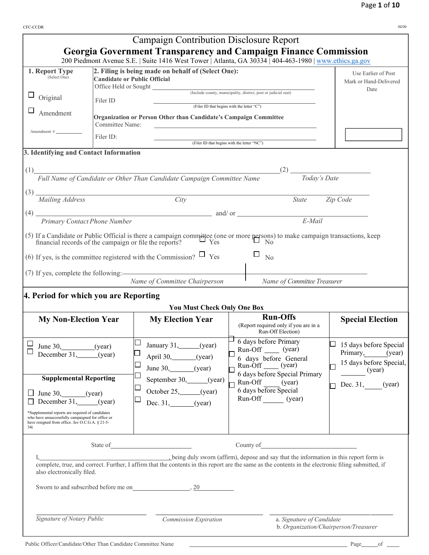| <b>CFC-CCDR</b>                                                                                                                                                                                                                                                                            |                                                                   |                                                                                                                                                                                                                                                                                                                                                                                                                                                   |                                                                                                                                                                                        | 02/20                                                                                                       |
|--------------------------------------------------------------------------------------------------------------------------------------------------------------------------------------------------------------------------------------------------------------------------------------------|-------------------------------------------------------------------|---------------------------------------------------------------------------------------------------------------------------------------------------------------------------------------------------------------------------------------------------------------------------------------------------------------------------------------------------------------------------------------------------------------------------------------------------|----------------------------------------------------------------------------------------------------------------------------------------------------------------------------------------|-------------------------------------------------------------------------------------------------------------|
|                                                                                                                                                                                                                                                                                            |                                                                   | <b>Campaign Contribution Disclosure Report</b><br><b>Georgia Government Transparency and Campaign Finance Commission</b><br>200 Piedmont Avenue S.E.   Suite 1416 West Tower   Atlanta, GA 30334   404-463-1980   www.ethics.ga.gov                                                                                                                                                                                                               |                                                                                                                                                                                        |                                                                                                             |
| 1. Report Type<br>(Select One)<br>ப<br>Original<br>Amendment<br>Amendment #<br>3. Identifying and Contact Information<br>(1)<br>Mailing Address<br>(4)<br>Primary Contact Phone Number<br>financial records of the campaign or file the reports?                                           | Office Held or Sought<br>Filer ID<br>Committee Name:<br>Filer ID: | 2. Filing is being made on behalf of (Select One):<br><b>Candidate or Public Official</b><br>Organization or Person Other than Candidate's Campaign Committee<br>Full Name of Candidate or Other Than Candidate Campaign Committee Name<br>City<br>and/or<br>(5) If a Candidate or Public Official is there a campaign committee (one or more persons) to make campaign transactions, keep financial records of the campaign or file the reports? | (Include county, municipality, district, post or judicial seat)<br>(Filer ID that begins with the letter "C")<br>(Filer ID that begins with the letter "NC")<br>(2)<br>State<br>E-Mail | Use Earlier of Post<br>Mark or Hand-Delivered<br>Date<br>Today's Date<br>Zip Code                           |
| 4. Period for which you are Reporting                                                                                                                                                                                                                                                      |                                                                   | (6) If yes, is the committee registered with the Commission? $\Box$ Yes<br>(7) If yes, complete the following:<br>Name of Committee Chairperson<br><b>You Must Check Only One Box</b>                                                                                                                                                                                                                                                             | N <sub>0</sub><br>Name of Committee Treasurer                                                                                                                                          |                                                                                                             |
| <b>My Non-Election Year</b>                                                                                                                                                                                                                                                                |                                                                   | <b>My Election Year</b>                                                                                                                                                                                                                                                                                                                                                                                                                           | <b>Run-Offs</b><br>(Report required only if you are in a<br>Run-Off Election)                                                                                                          | <b>Special Election</b>                                                                                     |
| ப<br>June 30, $(year)$<br>December 31,<br><b>Supplemental Reporting</b><br>$\Box$ June 30, (year)<br>December 31, (year)<br>*Supplemental reports are required of candidates<br>who have unsuccessfully campaigned for office or<br>have resigned from office. See O.C.G.A. § 21-5-<br>34i | (year)                                                            | January 31, (year)<br>April 30, (year)<br>$\Box$<br>June 30, $(year)$<br>$\Box$<br>September 30, (year)<br>$\Box$<br>October 25, (year)<br>Dec. $31,$ (year)                                                                                                                                                                                                                                                                                      | 6 days before Primary<br>Run-Off (year)<br>6 days before General<br>Run-Off (year)<br>6 days before Special Primary<br>Run-Off (year)<br>6 days before Special<br>Run-Off (year)       | $\Box$ 15 days before Special<br>Primary, (year)<br>15 days before Special,<br>(year)<br>Dec. 31,<br>(year) |
| also electronically filed.                                                                                                                                                                                                                                                                 | State of                                                          | being duly sworn (affirm), depose and say that the information in this report form is<br>complete, true, and correct. Further, I affirm that the contents in this report are the same as the contents in the electronic filing submitted, if<br>Sworn to and subscribed before me on 3.20                                                                                                                                                         | County of                                                                                                                                                                              |                                                                                                             |
| Signature of Notary Public                                                                                                                                                                                                                                                                 |                                                                   | Commission Expiration                                                                                                                                                                                                                                                                                                                                                                                                                             | a. Signature of Candidate                                                                                                                                                              | b. Organization/Chairperson/Treasurer                                                                       |

Public Officer/Candidate/Other Than Candidate Committee Name Page of Page of Page of Page of Page of Page of Page of Page of Page of Page of Page of Page of Page of Page of Page of Page of Page of Page of Page of Page of P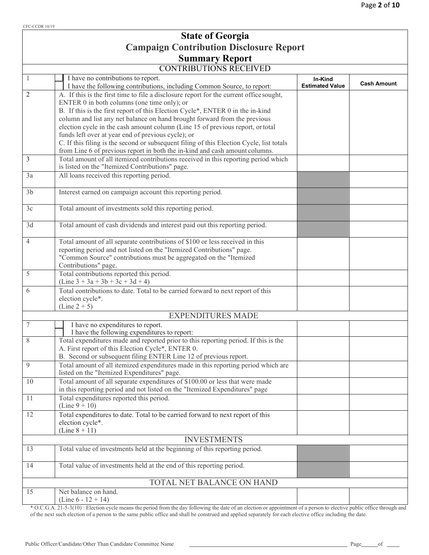## Page **2** of **10**

|                | <b>State of Georgia</b>                                                                                                                                                                                                                                                                                                                                                                                                                       |                                   |                    |
|----------------|-----------------------------------------------------------------------------------------------------------------------------------------------------------------------------------------------------------------------------------------------------------------------------------------------------------------------------------------------------------------------------------------------------------------------------------------------|-----------------------------------|--------------------|
|                | <b>Campaign Contribution Disclosure Report</b>                                                                                                                                                                                                                                                                                                                                                                                                |                                   |                    |
|                | <b>Summary Report</b>                                                                                                                                                                                                                                                                                                                                                                                                                         |                                   |                    |
|                | <b>CONTRIBUTIONS RECEIVED</b>                                                                                                                                                                                                                                                                                                                                                                                                                 |                                   |                    |
|                | I have no contributions to report.<br>I have the following contributions, including Common Source, to report:                                                                                                                                                                                                                                                                                                                                 | In-Kind<br><b>Estimated Value</b> | <b>Cash Amount</b> |
| 2              | A. If this is the first time to file a disclosure report for the current office sought,<br>ENTER 0 in both columns (one time only); or<br>B. If this is the first report of this Election Cycle*, ENTER 0 in the in-kind<br>column and list any net balance on hand brought forward from the previous<br>election cycle in the cash amount column (Line 15 of previous report, or total<br>funds left over at year end of previous cycle); or |                                   |                    |
|                | C. If this filing is the second or subsequent filing of this Election Cycle, list totals<br>from Line 6 of previous report in both the in-kind and cash amount columns.                                                                                                                                                                                                                                                                       |                                   |                    |
| 3              | Total amount of all itemized contributions received in this reporting period which<br>is listed on the "Itemized Contributions" page.                                                                                                                                                                                                                                                                                                         |                                   |                    |
| 3a             | All loans received this reporting period.                                                                                                                                                                                                                                                                                                                                                                                                     |                                   |                    |
| 3 <sub>b</sub> | Interest earned on campaign account this reporting period.                                                                                                                                                                                                                                                                                                                                                                                    |                                   |                    |
| 3c             | Total amount of investments sold this reporting period.                                                                                                                                                                                                                                                                                                                                                                                       |                                   |                    |
| 3d             | Total amount of cash dividends and interest paid out this reporting period.                                                                                                                                                                                                                                                                                                                                                                   |                                   |                    |
| $\overline{4}$ | Total amount of all separate contributions of \$100 or less received in this<br>reporting period and not listed on the "Itemized Contributions" page.<br>"Common Source" contributions must be aggregated on the "Itemized<br>Contributions" page.                                                                                                                                                                                            |                                   |                    |
| 5              | Total contributions reported this period.<br>$(Line 3 + 3a + 3b + 3c + 3d + 4)$                                                                                                                                                                                                                                                                                                                                                               |                                   |                    |
| 6              | Total contributions to date. Total to be carried forward to next report of this<br>election cycle*.<br>$(Line 2 + 5)$                                                                                                                                                                                                                                                                                                                         |                                   |                    |
|                | <b>EXPENDITURES MADE</b>                                                                                                                                                                                                                                                                                                                                                                                                                      |                                   |                    |
| 7              | I have no expenditures to report.<br>I have the following expenditures to report:                                                                                                                                                                                                                                                                                                                                                             |                                   |                    |
| 8              | Total expenditures made and reported prior to this reporting period. If this is the<br>A. First report of this Election Cycle*, ENTER 0.<br>B. Second or subsequent filing ENTER Line 12 of previous report.                                                                                                                                                                                                                                  |                                   |                    |
| 9              | Total amount of all itemized expenditures made in this reporting period which are<br>listed on the "Itemized Expenditures" page.                                                                                                                                                                                                                                                                                                              |                                   |                    |
| 10             | Total amount of all separate expenditures of \$100.00 or less that were made<br>in this reporting period and not listed on the "Itemized Expenditures" page                                                                                                                                                                                                                                                                                   |                                   |                    |
| 11             | Total expenditures reported this period.<br>(Line $9 + 10$ )                                                                                                                                                                                                                                                                                                                                                                                  |                                   |                    |
| 12             | Total expenditures to date. Total to be carried forward to next report of this<br>election cycle*.<br>(Line $8 + 11$ )                                                                                                                                                                                                                                                                                                                        |                                   |                    |
|                | <b>INVESTMENTS</b>                                                                                                                                                                                                                                                                                                                                                                                                                            |                                   |                    |
| 13             | Total value of investments held at the beginning of this reporting period.                                                                                                                                                                                                                                                                                                                                                                    |                                   |                    |
| 14             | Total value of investments held at the end of this reporting period.                                                                                                                                                                                                                                                                                                                                                                          |                                   |                    |
|                | TOTAL NET BALANCE ON HAND                                                                                                                                                                                                                                                                                                                                                                                                                     |                                   |                    |
| 15             | Net balance on hand.<br>(Line $6 - 12 + 14$ )                                                                                                                                                                                                                                                                                                                                                                                                 |                                   |                    |

\* O.C.G.A. 21-5-3(10) : Election cycle means the period from the day following the date of an election or appointment of a person to elective public office through and of the next such election of a person to the same public office and shall be construed and applied separately for each elective office including the date.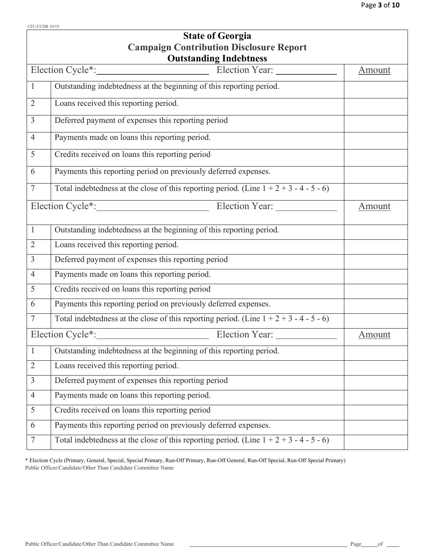| Page 3 of 10 |  |  |  |
|--------------|--|--|--|
|--------------|--|--|--|

|                | <b>State of Georgia</b>                                                                   |        |
|----------------|-------------------------------------------------------------------------------------------|--------|
|                | <b>Campaign Contribution Disclosure Report</b>                                            |        |
|                | <b>Outstanding Indebtness</b>                                                             |        |
|                |                                                                                           | Amount |
| $\mathbf{1}$   | Outstanding indebtedness at the beginning of this reporting period.                       |        |
| $\overline{2}$ | Loans received this reporting period.                                                     |        |
| $\overline{3}$ | Deferred payment of expenses this reporting period                                        |        |
| $\overline{4}$ | Payments made on loans this reporting period.                                             |        |
| 5              | Credits received on loans this reporting period                                           |        |
| 6              | Payments this reporting period on previously deferred expenses.                           |        |
| $\overline{7}$ | Total indebtedness at the close of this reporting period. (Line $1 + 2 + 3 - 4 - 5 - 6$ ) |        |
|                |                                                                                           | Amount |
| $\mathbf{1}$   | Outstanding indebtedness at the beginning of this reporting period.                       |        |
| $\overline{2}$ | Loans received this reporting period.                                                     |        |
| $\overline{3}$ | Deferred payment of expenses this reporting period                                        |        |
| $\overline{4}$ | Payments made on loans this reporting period.                                             |        |
| 5              | Credits received on loans this reporting period                                           |        |
| 6              | Payments this reporting period on previously deferred expenses.                           |        |
| 7              | Total indebtedness at the close of this reporting period. (Line $1 + 2 + 3 - 4 - 5 - 6$ ) |        |
|                | Election Cycle <sup>*</sup> :<br>Election Year:                                           | Amount |
| $\mathbf{1}$   | Outstanding indebtedness at the beginning of this reporting period.                       |        |
| $\overline{2}$ | Loans received this reporting period.                                                     |        |
| $\overline{3}$ | Deferred payment of expenses this reporting period                                        |        |
| $\overline{4}$ | Payments made on loans this reporting period.                                             |        |
| 5              | Credits received on loans this reporting period                                           |        |
| 6              | Payments this reporting period on previously deferred expenses.                           |        |
| 7              | Total indebtedness at the close of this reporting period. (Line $1 + 2 + 3 - 4 - 5 - 6$ ) |        |

\* Election Cycle (Primary, General, Special, Special Primary, Run-Off Primary, Run-Off General, Run-Off Special, Run-Off Special Primary) Public Officer/Candidate/Other Than Candidate Committee Name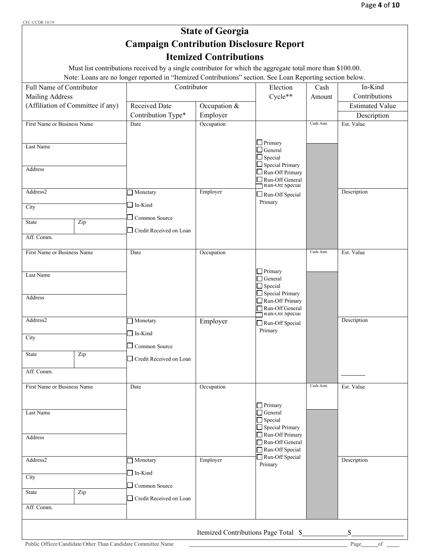## **State of Georgia Campaign Contribution Disclosure Report Itemized Contributions**

Must list contributions received by a single contributor for which the aggregate total more than \$100.00.

Note: Loans are no longer reported in "Itemized Contributions" section. See Loan Reporting section below.

|                         |                                                                                                                                                         | Cycle**                                                      |                                                                                                                                                                            |                        |
|-------------------------|---------------------------------------------------------------------------------------------------------------------------------------------------------|--------------------------------------------------------------|----------------------------------------------------------------------------------------------------------------------------------------------------------------------------|------------------------|
|                         |                                                                                                                                                         |                                                              | Amount                                                                                                                                                                     | Contributions          |
| Received Date           | Occupation $&$                                                                                                                                          |                                                              |                                                                                                                                                                            | <b>Estimated Value</b> |
| Contribution Type*      | Employer                                                                                                                                                |                                                              |                                                                                                                                                                            | Description            |
| Date                    |                                                                                                                                                         |                                                              | Cash Amt.                                                                                                                                                                  | Est. Value             |
|                         |                                                                                                                                                         | $\Box$ General<br>$\exists$ Special                          |                                                                                                                                                                            |                        |
|                         |                                                                                                                                                         | $\Box$ Run-Off Primary<br>Run-Off General<br>Kun-Off Special |                                                                                                                                                                            |                        |
|                         |                                                                                                                                                         | $\Box$ Run-Off Special                                       |                                                                                                                                                                            | Description            |
|                         |                                                                                                                                                         |                                                              |                                                                                                                                                                            |                        |
|                         |                                                                                                                                                         |                                                              |                                                                                                                                                                            |                        |
|                         |                                                                                                                                                         |                                                              |                                                                                                                                                                            |                        |
| Date                    | Occupation                                                                                                                                              |                                                              | Cash Amt.                                                                                                                                                                  | Est. Value             |
|                         |                                                                                                                                                         | Primary<br>$\Box$ General<br>$\Box$ Special                  |                                                                                                                                                                            |                        |
|                         |                                                                                                                                                         | Run-Off Primary<br>Run-Off General<br>Kun-UII Special        |                                                                                                                                                                            |                        |
|                         |                                                                                                                                                         | Run-Off Special                                              |                                                                                                                                                                            | Description            |
| $\Box$ Common Source    |                                                                                                                                                         |                                                              |                                                                                                                                                                            |                        |
| Credit Received on Loan |                                                                                                                                                         |                                                              |                                                                                                                                                                            |                        |
|                         |                                                                                                                                                         |                                                              |                                                                                                                                                                            |                        |
| Date                    | Occupation                                                                                                                                              |                                                              | Cash Amt.                                                                                                                                                                  | Est. Value             |
|                         |                                                                                                                                                         | Primary<br>$\Box$ General                                    |                                                                                                                                                                            |                        |
|                         |                                                                                                                                                         | Special Primary                                              |                                                                                                                                                                            |                        |
|                         |                                                                                                                                                         | Run-Off General<br>Run-Off Special                           |                                                                                                                                                                            |                        |
| Monetary                | Employer                                                                                                                                                | Primary                                                      |                                                                                                                                                                            | Description            |
| $\Box$ In-Kind          |                                                                                                                                                         |                                                              |                                                                                                                                                                            |                        |
|                         |                                                                                                                                                         |                                                              |                                                                                                                                                                            |                        |
|                         |                                                                                                                                                         |                                                              |                                                                                                                                                                            |                        |
|                         |                                                                                                                                                         |                                                              |                                                                                                                                                                            | \$                     |
|                         | Monetary<br>$\Box$ In-Kind<br>Common Source<br>- 1<br>Credit Received on Loan<br>Monetary<br>$\Box$ In-Kind<br>Common Source<br>Credit Received on Loan | Occupation<br>Employer<br>Employer                           | Primary<br>$\Box$ Special Primary<br>Primary<br>Special Primary<br>Primary<br>$\Box$ Special<br>Run-Off Primary<br>Run-Off Special<br>Itemized Contributions Page Total \$ |                        |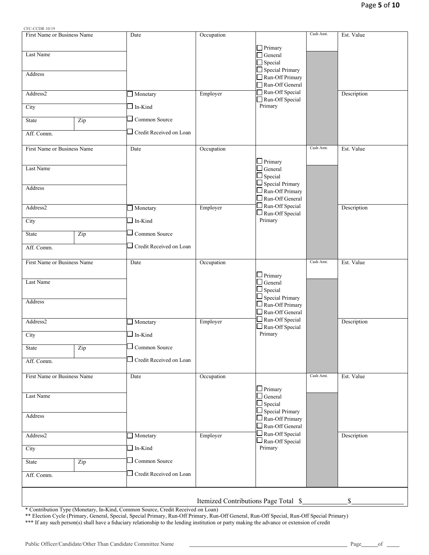$C$ <sup>C</sup>

| CFC-CCDR 10/19              |     |                         |            |                                                  |           |             |
|-----------------------------|-----|-------------------------|------------|--------------------------------------------------|-----------|-------------|
| First Name or Business Name |     | Date                    | Occupation |                                                  | Cash Amt. | Est. Value  |
| Last Name                   |     |                         |            | $\Box$ Primary<br>$\Box$ General                 |           |             |
|                             |     |                         |            | $\Box$ Special                                   |           |             |
|                             |     |                         |            | $\Box$ Special Primary                           |           |             |
| Address                     |     |                         |            | Run-Off Primary                                  |           |             |
|                             |     |                         |            | Run-Off General                                  |           |             |
| Address2                    |     | Monetary                | Employer   | Run-Off Special<br>Run-Off Special               |           | Description |
| City                        |     | In-Kind                 |            | Primary                                          |           |             |
| State                       | Zip | Common Source           |            |                                                  |           |             |
| Aff. Comm.                  |     | Credit Received on Loan |            |                                                  |           |             |
| First Name or Business Name |     | Date                    | Occupation |                                                  | Cash Amt. | Est. Value  |
|                             |     |                         |            | $\Box$ Primary                                   |           |             |
| Last Name                   |     |                         |            | $\Box$ General                                   |           |             |
|                             |     |                         |            | $\Box$ Special                                   |           |             |
| Address                     |     |                         |            | $\Box$ Special Primary                           |           |             |
|                             |     |                         |            | $\Box$ Run-Off Primary                           |           |             |
|                             |     |                         |            | $\square$ Run-Off General                        |           |             |
| Address2                    |     | Monetary                | Employer   | $\Box$ Run-Off Special<br>$\Box$ Run-Off Special |           | Description |
| City                        |     | $\Box$ In-Kind          |            | Primary                                          |           |             |
| <b>State</b>                | Zip | Common Source           |            |                                                  |           |             |
| Aff. Comm.                  |     | Credit Received on Loan |            |                                                  |           |             |
| First Name or Business Name |     | Date                    | Occupation |                                                  | Cash Amt. | Est. Value  |
|                             |     |                         |            | $\Box$ Primary                                   |           |             |
| Last Name                   |     |                         |            | $\Box$ General                                   |           |             |
|                             |     |                         |            | $\Box$ Special                                   |           |             |
| Address                     |     |                         |            | $\Box$ Special Primary                           |           |             |
|                             |     |                         |            | $\Box$ Run-Off Primary<br>$\Box$ Run-Off General |           |             |
| Address2                    |     | Monetary                | Employer   | Run-Off Special                                  |           | Description |
| City                        |     | $\ln$ -Kind             |            | $\square$ Run-Off Special<br>Primary             |           |             |
| State                       | Zip | Common Source           |            |                                                  |           |             |
|                             |     | Credit Received on Loan |            |                                                  |           |             |
| Aff. Comm.                  |     |                         |            |                                                  |           |             |
| First Name or Business Name |     | Date                    | Occupation |                                                  | Cash Amt. | Est. Value  |
| Last Name                   |     |                         |            | $\Box$ Primary<br>$\Box$ General                 |           |             |
|                             |     |                         |            | $\Box$ Special                                   |           |             |
|                             |     |                         |            | $\Box$ Special Primary                           |           |             |
| Address                     |     |                         |            | $\Box$ Run-Off Primary<br>$\Box$ Run-Off General |           |             |
| Address2                    |     | Monetary                | Employer   | $\square$ Run-Off Special                        |           | Description |
| City                        |     | $\Box$ In-Kind          |            | $\Box$ Run-Off Special<br>Primary                |           |             |
| State                       | Zip | Common Source           |            |                                                  |           |             |
| Aff. Comm.                  |     | Credit Received on Loan |            |                                                  |           |             |
|                             |     |                         |            |                                                  |           |             |
|                             |     |                         |            | Itemized Contributions Page Total \$             |           | \$          |
|                             |     |                         |            |                                                  |           |             |

\* Contribution Type (Monetary, In-Kind, Common Source, Credit Received on Loan)

\*\* Election Cycle (Primary, General, Special, Special Primary, Run-Off Primary, Run-Off General, Run-Off Special, Run-Off Special Primary)

\*\*\* If any such person(s) shall have a fiduciary relationship to the lending institution or party making the advance or extension of credit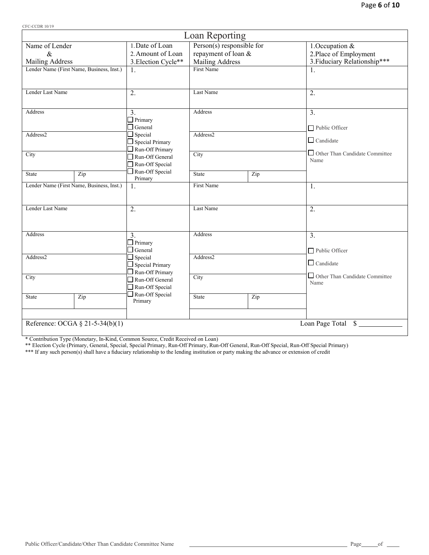| 71 C-CCDIV 10/17                                      |                                           | Loan Reporting            |     |                                               |  |
|-------------------------------------------------------|-------------------------------------------|---------------------------|-----|-----------------------------------------------|--|
| Name of Lender                                        | 1. Date of Loan                           | Person(s) responsible for |     | 1.Occupation &                                |  |
| $\&$                                                  | 2. Amount of Loan                         | repayment of loan &       |     | 2. Place of Employment                        |  |
| <b>Mailing Address</b>                                | 3. Election Cycle**                       | Mailing Address           |     | 3. Fiduciary Relationship***                  |  |
| Lender Name (First Name, Business, Inst.)             | 1.                                        | <b>First Name</b>         |     | 1.                                            |  |
|                                                       |                                           |                           |     |                                               |  |
| Lender Last Name                                      | 2.                                        | Last Name                 | 2.  |                                               |  |
| Address                                               | 3.                                        | Address                   |     | 3.                                            |  |
|                                                       | $\Box$ Primary<br>$\Box$ General          |                           |     | Public Officer                                |  |
| Address2                                              | $\Box$ Special<br>$\Box$ Special Primary  | Address2                  |     | $\Box$ Candidate                              |  |
| City                                                  | $\Box$ Run-Off Primary<br>Run-Off General | City                      |     | Other Than Candidate Committee                |  |
|                                                       | Run-Off Special                           |                           |     | Name                                          |  |
| Zip<br><b>State</b>                                   | Run-Off Special<br>Primary                | <b>State</b>              | Zip |                                               |  |
| Lender Name (First Name, Business, Inst.)             | 1.                                        | First Name                |     | 1.                                            |  |
| Lender Last Name                                      | 2.                                        | Last Name                 |     | 2.                                            |  |
| Address                                               | $\overline{3}$ .                          | Address                   |     | $\overline{3}$ .                              |  |
|                                                       | $\Box$ Primary<br>$\Box$ General          |                           |     | Public Officer                                |  |
| Address2                                              | $\Box$ Special<br>$\Box$ Special Primary  | Address2                  |     | $\Box$ Candidate                              |  |
|                                                       | Run-Off Primary                           |                           |     |                                               |  |
| City                                                  | Run-Off General                           | City                      |     | $\Box$ Other Than Candidate Committee<br>Name |  |
|                                                       | Run-Off Special                           |                           |     |                                               |  |
| Zip<br><b>State</b>                                   | Run-Off Special<br>Primary                | State                     | Zip |                                               |  |
|                                                       |                                           |                           |     |                                               |  |
| Reference: OCGA § 21-5-34(b)(1)<br>Loan Page Total \$ |                                           |                           |     |                                               |  |

\* Contribution Type (Monetary, In-Kind, Common Source, Credit Received on Loan)

\*\* Election Cycle (Primary, General, Special, Special Primary, Run-Off Primary, Run-Off General, Run-Off Special, Run-Off Special Primary)

\*\*\* If any such person(s) shall have a fiduciary relationship to the lending institution or party making the advance or extension of credit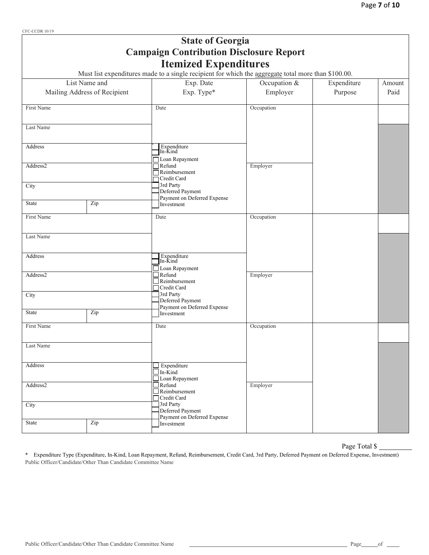| CFC-CCDR 10/19 |                              | <b>State of Georgia</b>                                                                             |              |             |        |
|----------------|------------------------------|-----------------------------------------------------------------------------------------------------|--------------|-------------|--------|
|                |                              | <b>Campaign Contribution Disclosure Report</b>                                                      |              |             |        |
|                |                              | <b>Itemized Expenditures</b>                                                                        |              |             |        |
|                |                              | Must list expenditures made to a single recipient for which the aggregate total more than \$100.00. |              |             |        |
|                | List Name and                | Exp. Date                                                                                           | Occupation & | Expenditure | Amount |
|                | Mailing Address of Recipient | Exp. Type*                                                                                          | Employer     | Purpose     | Paid   |
| First Name     |                              | Date                                                                                                | Occupation   |             |        |
| Last Name      |                              |                                                                                                     |              |             |        |
| Address        |                              | Expenditure<br>In-Kind                                                                              |              |             |        |
| Address2       |                              | Loan Repayment<br>$\bigcap$ Refund<br>Reimbursement<br>Credit Card                                  | Employer     |             |        |
| City           |                              | 3rd Party<br>Deferred Payment<br>Payment on Deferred Expense                                        |              |             |        |
| State          | Zip                          | Investment                                                                                          |              |             |        |
| First Name     |                              | Date                                                                                                | Occupation   |             |        |
| Last Name      |                              |                                                                                                     |              |             |        |
| Address        |                              | Expenditure<br>In-Kind<br>Loan Repayment                                                            |              |             |        |
| Address2       |                              | $\exists$ Refund<br>Reimbursement<br>Credit Card                                                    | Employer     |             |        |
| City           |                              | 3rd Party<br>Deferred Payment<br>Payment on Deferred Expense                                        |              |             |        |
| State          | Zip                          | Investment                                                                                          |              |             |        |
| First Name     |                              | Date                                                                                                | Occupation   |             |        |
| Last Name      |                              |                                                                                                     |              |             |        |
| Address        |                              | Expenditure<br>$\Box$ In-Kind<br>Loan Repayment                                                     |              |             |        |
| Address2       |                              | $\Box$ Refund<br>$\Box$ Reimbursement<br>Credit Card                                                | Employer     |             |        |
| City           |                              | 3rd Party<br>Deferred Payment<br>Payment on Deferred Expense                                        |              |             |        |
| State          | Zip                          | Investment                                                                                          |              |             |        |

## Page Total \$

\* Expenditure Type (Expenditure, In-Kind, Loan Repayment, Refund, Reimbursement, Credit Card, 3rd Party, Deferred Payment on Deferred Expense, Investment) Public Officer/Candidate/Other Than Candidate Committee Name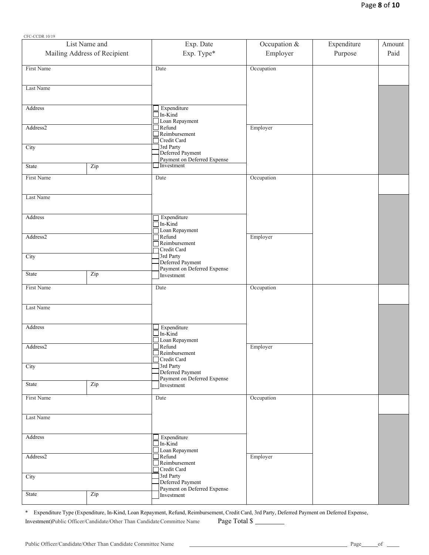| CFC-CCDR 10/19 |                              |                                                                    |              |             |        |
|----------------|------------------------------|--------------------------------------------------------------------|--------------|-------------|--------|
|                | List Name and                | Exp. Date                                                          | Occupation & | Expenditure | Amount |
|                | Mailing Address of Recipient | Exp. Type*                                                         | Employer     | Purpose     | Paid   |
| First Name     |                              | Date                                                               | Occupation   |             |        |
|                |                              |                                                                    |              |             |        |
| Last Name      |                              |                                                                    |              |             |        |
| Address        |                              | $\Box$ Expenditure                                                 |              |             |        |
| Address2       |                              | $\Box$ In- $\dot{K}$ ind<br>$\Box$ Loan Repayment<br>$\Box$ Refund |              |             |        |
|                |                              | $\Box$ Reimbursement<br>Credit Card                                | Employer     |             |        |
| City           |                              | 3rd Party<br>Deferred Payment                                      |              |             |        |
| State          | Zip                          | Payment on Deferred Expense<br>Investment                          |              |             |        |
| First Name     |                              | Date                                                               | Occupation   |             |        |
|                |                              |                                                                    |              |             |        |
| Last Name      |                              |                                                                    |              |             |        |
| Address        |                              | Expenditure                                                        |              |             |        |
|                |                              | $\Box$ In-Kind<br>Loan Repayment                                   |              |             |        |
| Address2       |                              | $\overline{\Box}$ Refund<br>$\overline{\phantom{a}}$ Reimbursement | Employer     |             |        |
| City           |                              | Credit Card<br>3rd Party                                           |              |             |        |
|                |                              | Deferred Payment<br>Payment on Deferred Expense                    |              |             |        |
| State          | Zip                          | Investment                                                         |              |             |        |
| First Name     |                              | Date                                                               | Occupation   |             |        |
| Last Name      |                              |                                                                    |              |             |        |
|                |                              |                                                                    |              |             |        |
| Address        |                              | $\Box$ Expenditure<br>$\Box$ In-Kind                               |              |             |        |
| Address2       |                              | $\Box$ Loan Repayment<br>$\Box$ Refund                             | Employer     |             |        |
|                |                              | $R$ eimbursement<br>Credit Card                                    |              |             |        |
| City           |                              | 3rd Party<br>Deferred Payment                                      |              |             |        |
| State          | Zip                          | Payment on Deferred Expense<br>Investment                          |              |             |        |
| First Name     |                              | Date                                                               | Occupation   |             |        |
|                |                              |                                                                    |              |             |        |
| Last Name      |                              |                                                                    |              |             |        |
| Address        |                              | $\Box$ Expenditure                                                 |              |             |        |
|                |                              | $\Box$ In- $\tilde{K}$ ind<br>Loan Repayment                       |              |             |        |
| Address2       |                              | $\Box$ Refund<br>$\Box$ Reimbursement                              | Employer     |             |        |
| City           |                              | Credit Card<br>3rd Party                                           |              |             |        |
|                |                              | Deferred Payment<br>Payment on Deferred Expense                    |              |             |        |
| State          | Zip                          | Investment                                                         |              |             |        |

\* Expenditure Type (Expenditure, In-Kind, Loan Repayment, Refund, Reimbursement, Credit Card, 3rd Party, Deferred Payment on Deferred Expense, Investment)Public Officer/Candidate/Other Than Candidate Committee Name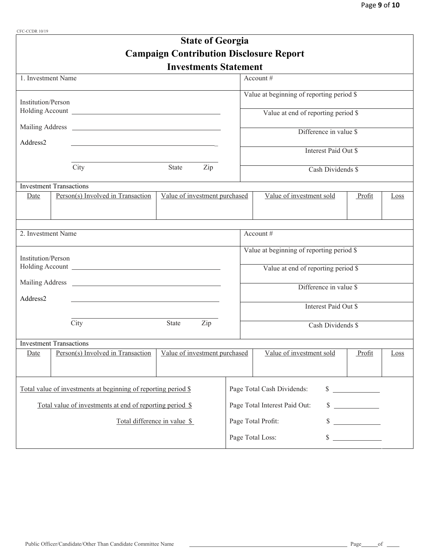| CFC-CCDR 10/19            |                                                                                                                                                                                                                                      |                                                |                    |                                           |                      |      |  |
|---------------------------|--------------------------------------------------------------------------------------------------------------------------------------------------------------------------------------------------------------------------------------|------------------------------------------------|--------------------|-------------------------------------------|----------------------|------|--|
|                           |                                                                                                                                                                                                                                      | <b>State of Georgia</b>                        |                    |                                           |                      |      |  |
|                           |                                                                                                                                                                                                                                      | <b>Campaign Contribution Disclosure Report</b> |                    |                                           |                      |      |  |
|                           |                                                                                                                                                                                                                                      | <b>Investments Statement</b>                   |                    |                                           |                      |      |  |
| 1. Investment Name        |                                                                                                                                                                                                                                      |                                                |                    | Account #                                 |                      |      |  |
|                           |                                                                                                                                                                                                                                      |                                                |                    |                                           |                      |      |  |
| <b>Institution/Person</b> |                                                                                                                                                                                                                                      |                                                |                    | Value at beginning of reporting period \$ |                      |      |  |
|                           |                                                                                                                                                                                                                                      |                                                |                    | Value at end of reporting period \$       |                      |      |  |
|                           | Mailing Address <u>New York and States and States and States and States and States and States and States and States and States and States and States and States and States and States and States and States and States and State</u> |                                                |                    |                                           |                      |      |  |
|                           |                                                                                                                                                                                                                                      |                                                |                    | Difference in value \$                    |                      |      |  |
| Address2                  | <u> 1980 - Andrea Andrew Maria (h. 1980).</u>                                                                                                                                                                                        |                                                |                    | Interest Paid Out \$                      |                      |      |  |
|                           |                                                                                                                                                                                                                                      |                                                |                    |                                           |                      |      |  |
|                           | City                                                                                                                                                                                                                                 | State<br>Zip                                   |                    | Cash Dividends \$                         |                      |      |  |
|                           | <b>Investment Transactions</b>                                                                                                                                                                                                       |                                                |                    |                                           |                      |      |  |
| Date                      | Person(s) Involved in Transaction                                                                                                                                                                                                    | Value of investment purchased                  |                    | Value of investment sold                  | Profit               | Loss |  |
|                           |                                                                                                                                                                                                                                      |                                                |                    |                                           |                      |      |  |
|                           |                                                                                                                                                                                                                                      |                                                |                    |                                           |                      |      |  |
| 2. Investment Name        |                                                                                                                                                                                                                                      |                                                |                    | Account #                                 |                      |      |  |
|                           |                                                                                                                                                                                                                                      |                                                |                    |                                           |                      |      |  |
| Institution/Person        |                                                                                                                                                                                                                                      |                                                |                    | Value at beginning of reporting period \$ |                      |      |  |
|                           |                                                                                                                                                                                                                                      |                                                |                    | Value at end of reporting period \$       |                      |      |  |
|                           |                                                                                                                                                                                                                                      |                                                |                    |                                           |                      |      |  |
|                           |                                                                                                                                                                                                                                      |                                                |                    | Difference in value \$                    |                      |      |  |
| Address2                  |                                                                                                                                                                                                                                      |                                                |                    |                                           |                      |      |  |
|                           |                                                                                                                                                                                                                                      |                                                |                    | Interest Paid Out \$                      |                      |      |  |
|                           | City                                                                                                                                                                                                                                 | State<br>Zip                                   | Cash Dividends \$  |                                           |                      |      |  |
|                           |                                                                                                                                                                                                                                      |                                                |                    |                                           |                      |      |  |
|                           | <b>Investment Transactions</b><br>Person(s) Involved in Transaction                                                                                                                                                                  | Value of investment purchased                  |                    | Value of investment sold                  | Profit               |      |  |
| Date                      |                                                                                                                                                                                                                                      |                                                |                    |                                           |                      | Loss |  |
|                           |                                                                                                                                                                                                                                      |                                                |                    |                                           |                      |      |  |
|                           |                                                                                                                                                                                                                                      |                                                |                    | Page Total Cash Dividends:                |                      |      |  |
|                           | Total value of investments at beginning of reporting period \$                                                                                                                                                                       |                                                |                    |                                           | $\frac{1}{2}$        |      |  |
|                           | Total value of investments at end of reporting period \$                                                                                                                                                                             |                                                |                    | $\sim$<br>Page Total Interest Paid Out:   |                      |      |  |
|                           | Total difference in value \$                                                                                                                                                                                                         |                                                | Page Total Profit: |                                           |                      |      |  |
|                           |                                                                                                                                                                                                                                      |                                                |                    |                                           |                      |      |  |
|                           |                                                                                                                                                                                                                                      |                                                |                    | Page Total Loss:                          | $\frac{\sqrt{2}}{2}$ |      |  |